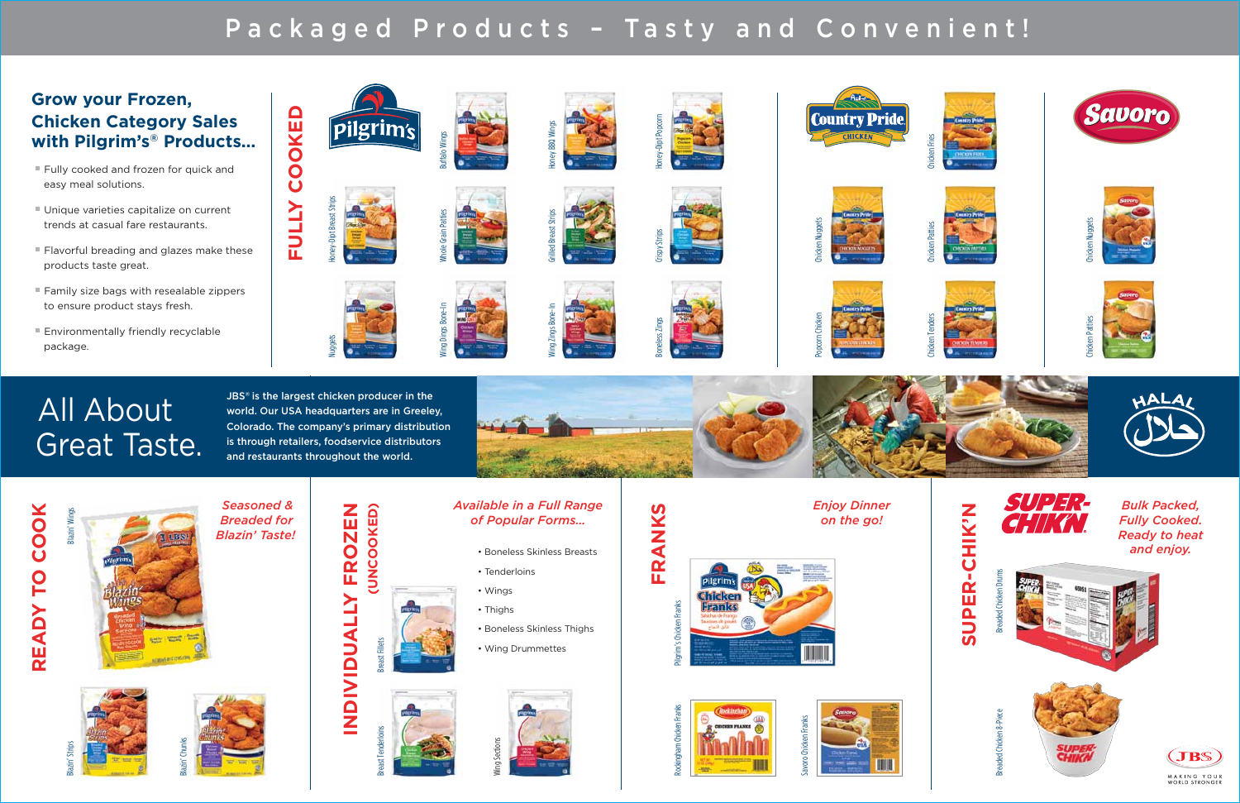*Seasoned & Breaded for Blazin' Taste!*

*Available in a Full Range*





- Tenderloins
- Boneless Skinless Thighs
- Wing Drummettes



 *Enjoy Dinner on the go!*









### **Grow your Frozen, Chicken Category Sales with Pilgrim's® Products…**

- Fully cooked and frozen for quick and easy meal solutions.
- Unique varieties capitalize on current trends at casual fare restaurants.
- Flavorful breading and glazes make these products taste great.
- Family size bags with resealable zippers to ensure product stays fresh.
- Environmentally friendly recyclable package.

FRANKS **FRANKS**



JBS<sup>®</sup> is the largest chicken producer in the world. Our USA headquarters are in Greeley, Colorado. The company's primary distribution is through retailers, foodservice distributors and restaurants throughout the world.



# READY TO COOK **READY TO COOK** Blazin' Win





Blazin' Strips

Blazin' Chunks







Wing Sections









Breaded Chicken Drums



Breaded Chicken 8-Piece

ded Chicken 8-Pi





# All About Great Taste.

## Packaged Products – Tasty and Convenient!